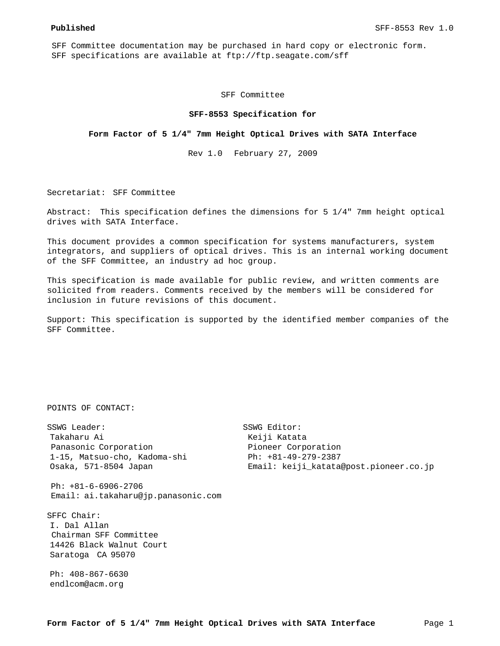SFF Committee documentation may be purchased in hard copy or electronic form. SFF specifications are available at ftp://ftp.seagate.com/sff

SFF Committee

## **SFF-8553 Specification for**

## **Form Factor of 5 1/4" 7mm Height Optical Drives with SATA Interface**

Rev 1.0 February 27, 2009

Secretariat: SFF Committee

Abstract: This specification defines the dimensions for 5 1/4" 7mm height optical drives with SATA Interface.

This document provides a common specification for systems manufacturers, system integrators, and suppliers of optical drives. This is an internal working document of the SFF Committee, an industry ad hoc group.

This specification is made available for public review, and written comments are solicited from readers. Comments received by the members will be considered for inclusion in future revisions of this document.

Support: This specification is supported by the identified member companies of the SFF Committee.

```
POINTS OF CONTACT:
```
SSWG Leader: SSWG Editor: Takaharu Ai **Kerama Kerama Keli**kaharu Ai Katata Panasonic Corporation **Pioneer Corporation**  1-15, Matsuo-cho, Kadoma-shi Ph: +81-49-279-2387 Osaka, 571-8504 Japan Email: keiji\_katata@post.pioneer.co.jp

 Ph: +81-6-6906-2706 Email: ai.takaharu@jp.panasonic.com

SFFC Chair: I. Dal Allan Chairman SFF Committee 14426 Black Walnut Court Saratoga CA 95070

Ph: 408-867-6630 endlcom@acm.org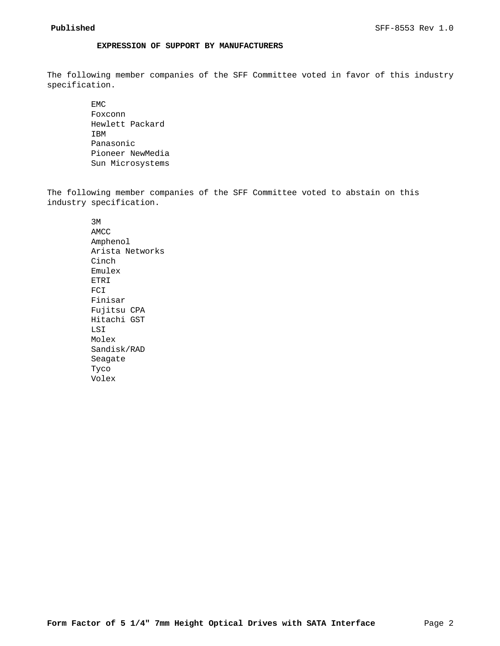# **EXPRESSION OF SUPPORT BY MANUFACTURERS**

The following member companies of the SFF Committee voted in favor of this industry specification.

> EMC Foxconn Hewlett Packard IBM Panasonic Pioneer NewMedia Sun Microsystems

The following member companies of the SFF Committee voted to abstain on this industry specification.

> 3M AMCC Amphenol Arista Networks Cinch Emulex ETRI FCI Finisar Fujitsu CPA Hitachi GST LSI Molex Sandisk/RAD Seagate Tyco Volex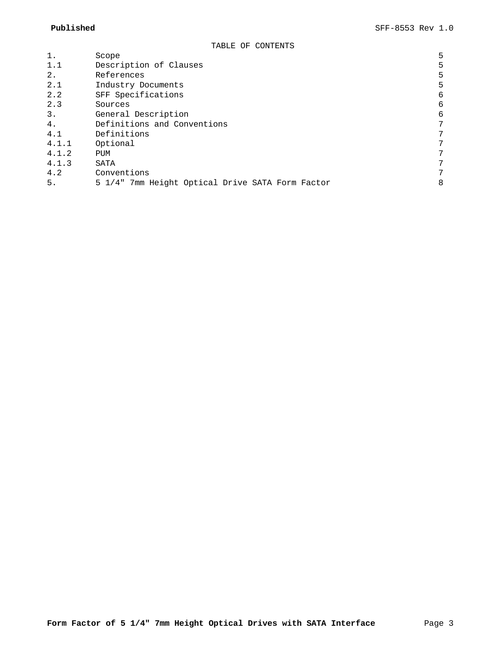| 1.    | Scope                                            | 5 |
|-------|--------------------------------------------------|---|
| 1.1   | Description of Clauses                           | 5 |
| 2.    | References                                       | 5 |
| 2.1   | Industry Documents                               | 5 |
| 2.2   | SFF Specifications                               | 6 |
| 2.3   | Sources                                          | 6 |
| 3.    | General Description                              | 6 |
| 4.    | Definitions and Conventions                      | 7 |
| 4.1   | Definitions                                      | 7 |
| 4.1.1 | Optional                                         | 7 |
| 4.1.2 | PUM                                              | 7 |
| 4.1.3 | SATA                                             | 7 |
| 4.2   | Conventions                                      | 7 |
| 5.    | 5 1/4" 7mm Height Optical Drive SATA Form Factor | 8 |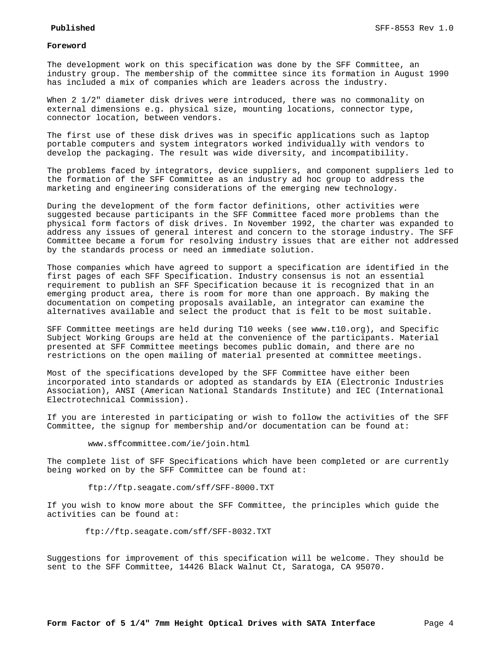## **Foreword**

The development work on this specification was done by the SFF Committee, an industry group. The membership of the committee since its formation in August 1990 has included a mix of companies which are leaders across the industry.

When 2 1/2" diameter disk drives were introduced, there was no commonality on external dimensions e.g. physical size, mounting locations, connector type, connector location, between vendors.

The first use of these disk drives was in specific applications such as laptop portable computers and system integrators worked individually with vendors to develop the packaging. The result was wide diversity, and incompatibility.

The problems faced by integrators, device suppliers, and component suppliers led to the formation of the SFF Committee as an industry ad hoc group to address the marketing and engineering considerations of the emerging new technology.

During the development of the form factor definitions, other activities were suggested because participants in the SFF Committee faced more problems than the physical form factors of disk drives. In November 1992, the charter was expanded to address any issues of general interest and concern to the storage industry. The SFF Committee became a forum for resolving industry issues that are either not addressed by the standards process or need an immediate solution.

Those companies which have agreed to support a specification are identified in the first pages of each SFF Specification. Industry consensus is not an essential requirement to publish an SFF Specification because it is recognized that in an emerging product area, there is room for more than one approach. By making the documentation on competing proposals available, an integrator can examine the alternatives available and select the product that is felt to be most suitable.

SFF Committee meetings are held during T10 weeks (see www.t10.org), and Specific Subject Working Groups are held at the convenience of the participants. Material presented at SFF Committee meetings becomes public domain, and there are no restrictions on the open mailing of material presented at committee meetings.

Most of the specifications developed by the SFF Committee have either been incorporated into standards or adopted as standards by EIA (Electronic Industries Association), ANSI (American National Standards Institute) and IEC (International Electrotechnical Commission).

If you are interested in participating or wish to follow the activities of the SFF Committee, the signup for membership and/or documentation can be found at:

www.sffcommittee.com/ie/join.html

The complete list of SFF Specifications which have been completed or are currently being worked on by the SFF Committee can be found at:

ftp://ftp.seagate.com/sff/SFF-8000.TXT

If you wish to know more about the SFF Committee, the principles which guide the activities can be found at:

ftp://ftp.seagate.com/sff/SFF-8032.TXT

Suggestions for improvement of this specification will be welcome. They should be sent to the SFF Committee, 14426 Black Walnut Ct, Saratoga, CA 95070.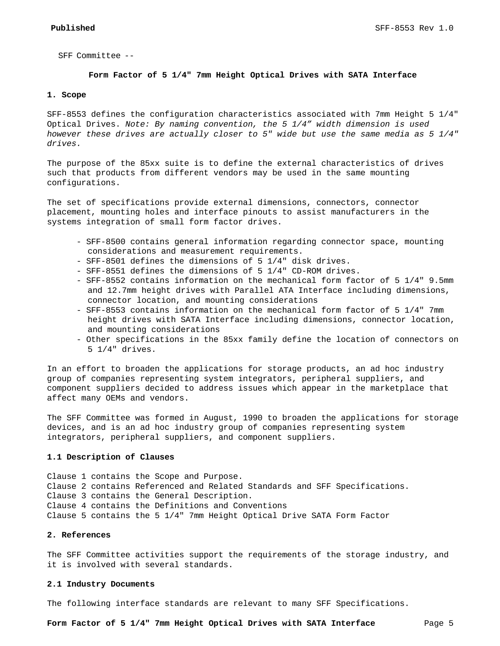SFF Committee --

## **Form Factor of 5 1/4" 7mm Height Optical Drives with SATA Interface**

## **1. Scope**

SFF-8553 defines the configuration characteristics associated with 7mm Height 5 1/4" Optical Drives. *Note: By naming convention, the 5 1/4" width dimension is used however these drives are actually closer to 5" wide but use the same media as 5 1/4" drives.*

The purpose of the 85xx suite is to define the external characteristics of drives such that products from different vendors may be used in the same mounting configurations.

The set of specifications provide external dimensions, connectors, connector placement, mounting holes and interface pinouts to assist manufacturers in the systems integration of small form factor drives.

- SFF-8500 contains general information regarding connector space, mounting considerations and measurement requirements.
- SFF-8501 defines the dimensions of 5 1/4" disk drives.
- SFF-8551 defines the dimensions of 5 1/4" CD-ROM drives.
- SFF-8552 contains information on the mechanical form factor of 5 1/4" 9.5mm and 12.7mm height drives with Parallel ATA Interface including dimensions, connector location, and mounting considerations
- SFF-8553 contains information on the mechanical form factor of 5 1/4" 7mm height drives with SATA Interface including dimensions, connector location, and mounting considerations
- Other specifications in the 85xx family define the location of connectors on 5 1/4" drives.

In an effort to broaden the applications for storage products, an ad hoc industry group of companies representing system integrators, peripheral suppliers, and component suppliers decided to address issues which appear in the marketplace that affect many OEMs and vendors.

The SFF Committee was formed in August, 1990 to broaden the applications for storage devices, and is an ad hoc industry group of companies representing system integrators, peripheral suppliers, and component suppliers.

#### **1.1 Description of Clauses**

Clause 1 contains the Scope and Purpose. Clause 2 contains Referenced and Related Standards and SFF Specifications. Clause 3 contains the General Description. Clause 4 contains the Definitions and Conventions Clause 5 contains the 5 1/4" 7mm Height Optical Drive SATA Form Factor

## **2. References**

The SFF Committee activities support the requirements of the storage industry, and it is involved with several standards.

## **2.1 Industry Documents**

The following interface standards are relevant to many SFF Specifications.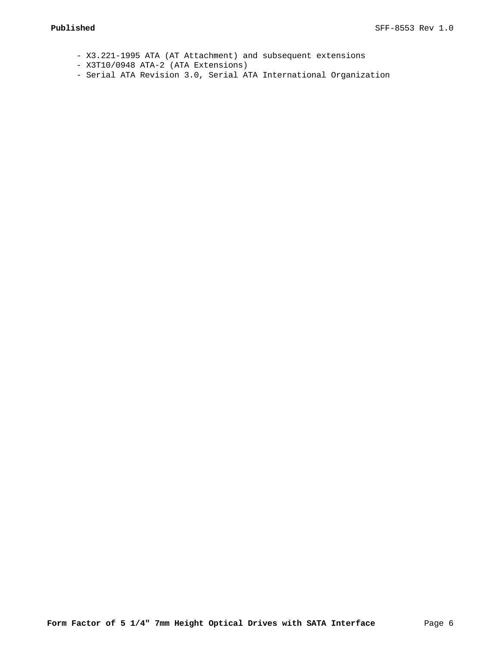- X3.221-1995 ATA (AT Attachment) and subsequent extensions
- X3T10/0948 ATA-2 (ATA Extensions)
- Serial ATA Revision 3.0, Serial ATA International Organization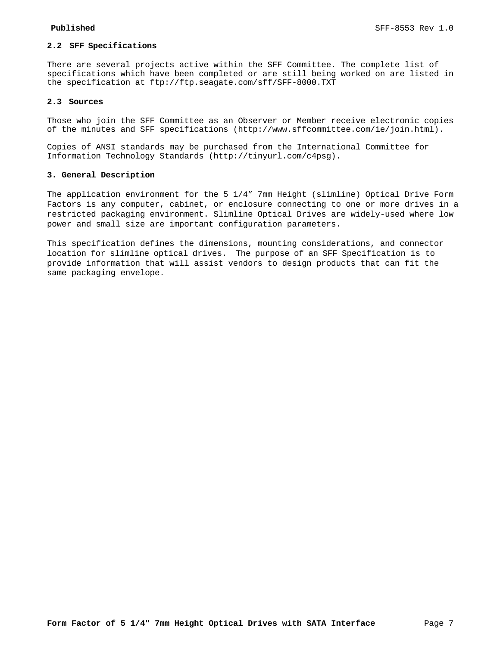## **2.2 SFF Specifications**

There are several projects active within the SFF Committee. The complete list of specifications which have been completed or are still being worked on are listed in the specification at ftp://ftp.seagate.com/sff/SFF-8000.TXT

## **2.3 Sources**

Those who join the SFF Committee as an Observer or Member receive electronic copies of the minutes and SFF specifications (http://www.sffcommittee.com/ie/join.html).

Copies of ANSI standards may be purchased from the International Committee for Information Technology Standards (http://tinyurl.com/c4psg).

### **3. General Description**

The application environment for the 5 1/4" 7mm Height (slimline) Optical Drive Form Factors is any computer, cabinet, or enclosure connecting to one or more drives in a restricted packaging environment. Slimline Optical Drives are widely-used where low power and small size are important configuration parameters.

This specification defines the dimensions, mounting considerations, and connector location for slimline optical drives. The purpose of an SFF Specification is to provide information that will assist vendors to design products that can fit the same packaging envelope.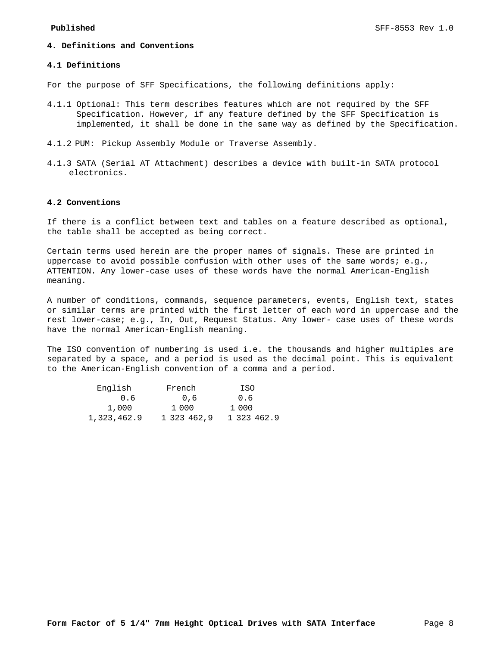## **4. Definitions and Conventions**

## **4.1 Definitions**

For the purpose of SFF Specifications, the following definitions apply:

- 4.1.1 Optional: This term describes features which are not required by the SFF Specification. However, if any feature defined by the SFF Specification is implemented, it shall be done in the same way as defined by the Specification.
- 4.1.2 PUM: Pickup Assembly Module or Traverse Assembly.
- 4.1.3 SATA (Serial AT Attachment) describes a device with built-in SATA protocol electronics.

## **4.2 Conventions**

If there is a conflict between text and tables on a feature described as optional, the table shall be accepted as being correct.

Certain terms used herein are the proper names of signals. These are printed in uppercase to avoid possible confusion with other uses of the same words; e.g., ATTENTION. Any lower-case uses of these words have the normal American-English meaning.

A number of conditions, commands, sequence parameters, events, English text, states or similar terms are printed with the first letter of each word in uppercase and the rest lower-case; e.g., In, Out, Request Status. Any lower- case uses of these words have the normal American-English meaning.

The ISO convention of numbering is used i.e. the thousands and higher multiples are separated by a space, and a period is used as the decimal point. This is equivalent to the American-English convention of a comma and a period.

| English     | French |             | ISO         |  |
|-------------|--------|-------------|-------------|--|
| 0.6         |        | 0.6         | 0.6         |  |
| 1,000       | 1 000  |             | 1 000       |  |
| 1,323,462.9 |        | 1 323 462.9 | 1 323 462.9 |  |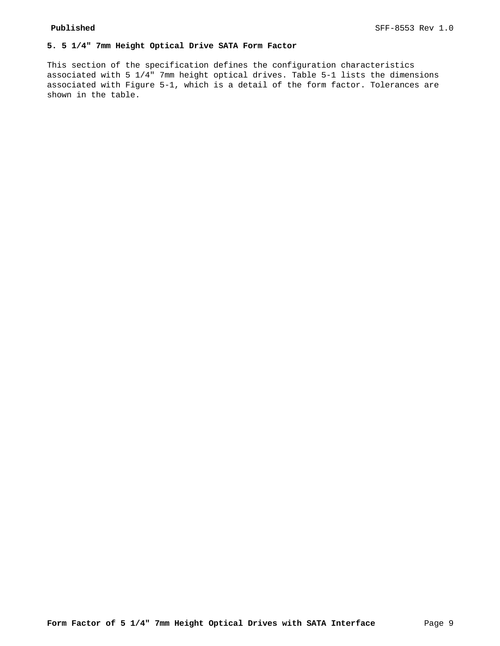# **5. 5 1/4" 7mm Height Optical Drive SATA Form Factor**

This section of the specification defines the configuration characteristics associated with 5 1/4" 7mm height optical drives. Table 5-1 lists the dimensions associated with Figure 5-1, which is a detail of the form factor. Tolerances are shown in the table.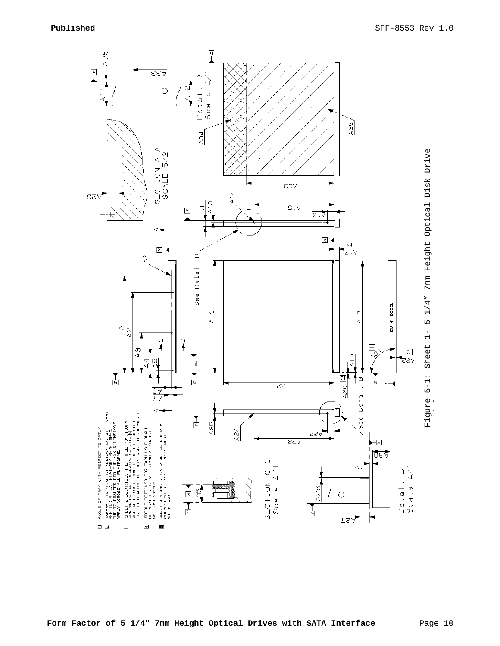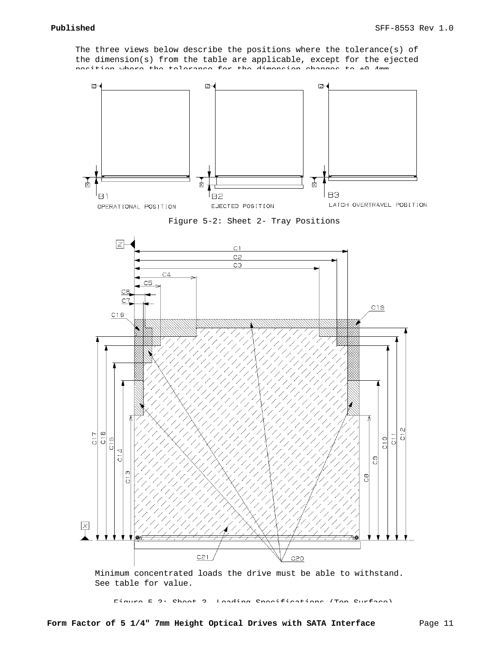The three views below describe the positions where the tolerance(s) of the dimension(s) from the table are applicable, except for the ejected position where the tolerance for the dimension changes to ±0.4mm.



Figure 5-2: Sheet 2- Tray Positions



Minimum concentrated loads the drive must be able to withstand. See table for value.

Figure 5-3: Sheet 3- Loading Specifications (Top Surface)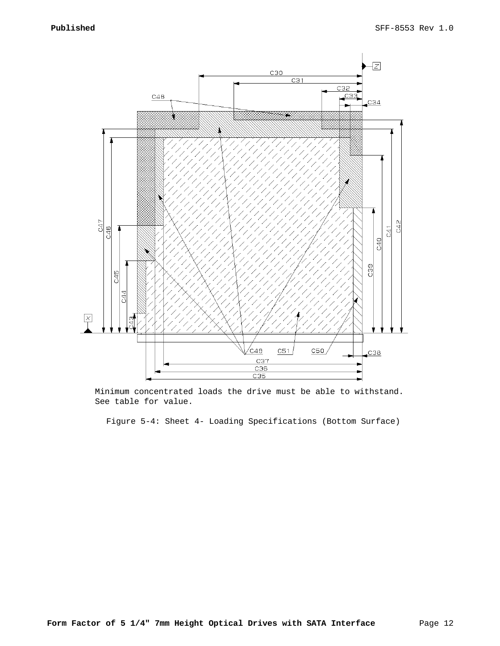

Minimum concentrated loads the drive must be able to withstand. See table for value.

Figure 5-4: Sheet 4- Loading Specifications (Bottom Surface)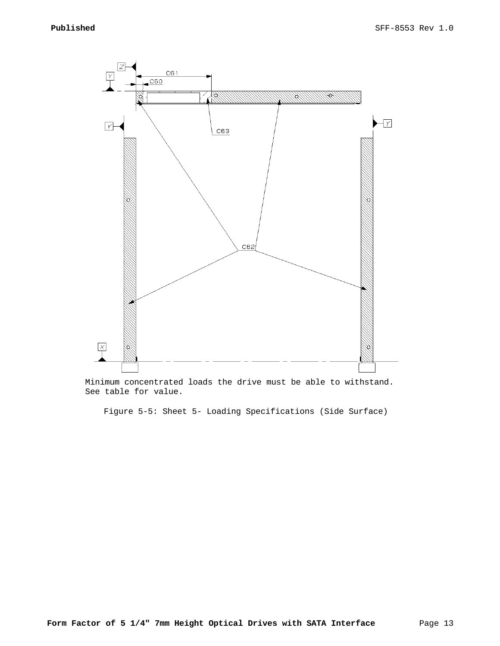

Minimum concentrated loads the drive must be able to withstand. See table for value.

Figure 5-5: Sheet 5- Loading Specifications (Side Surface)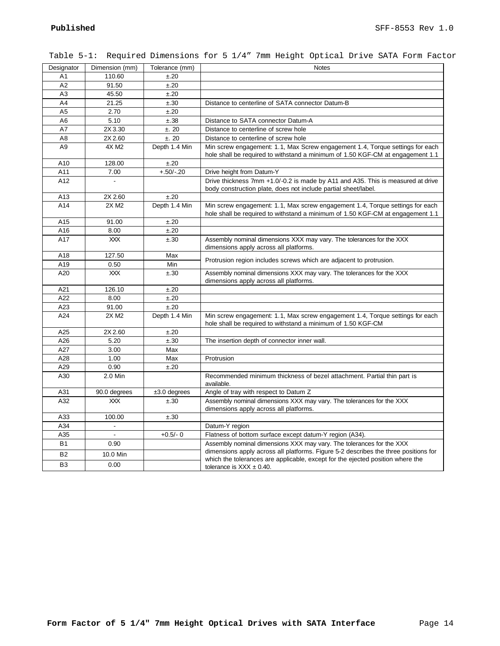| Designator     | Dimension (mm) | Tolerance (mm) | <b>Notes</b>                                                                                                                                                          |
|----------------|----------------|----------------|-----------------------------------------------------------------------------------------------------------------------------------------------------------------------|
| A <sub>1</sub> | 110.60         | ±.20           |                                                                                                                                                                       |
| A2             | 91.50          | ±.20           |                                                                                                                                                                       |
| A <sub>3</sub> | 45.50          | ±.20           |                                                                                                                                                                       |
| A4             | 21.25          | ±.30           | Distance to centerline of SATA connector Datum-B                                                                                                                      |
| A <sub>5</sub> | 2.70           | ±.20           |                                                                                                                                                                       |
| A6             | 5.10           | ±.38           | Distance to SATA connector Datum-A                                                                                                                                    |
| A7             | 2X 3.30        | ±.20           | Distance to centerline of screw hole                                                                                                                                  |
| A <sub>8</sub> | 2X 2.60        | ±.20           | Distance to centerline of screw hole                                                                                                                                  |
| A <sub>9</sub> | 4X M2          | Depth 1.4 Min  | Min screw engagement: 1.1, Max Screw engagement 1.4, Torque settings for each<br>hole shall be required to withstand a minimum of 1.50 KGF-CM at engagement 1.1       |
| A10            | 128.00         | ±.20           |                                                                                                                                                                       |
| A11            | 7.00           | $+.50/-.20$    | Drive height from Datum-Y                                                                                                                                             |
| A12            | $\overline{a}$ |                | Drive thickness 7mm +1.0/-0.2 is made by A11 and A35. This is measured at drive<br>body construction plate, does not include partial sheet/label.                     |
| A13            | 2X 2.60        | ±.20           |                                                                                                                                                                       |
| A14            | 2X M2          | Depth 1.4 Min  | Min screw engagement: 1.1, Max screw engagement 1.4, Torque settings for each<br>hole shall be required to withstand a minimum of 1.50 KGF-CM at engagement 1.1       |
| A15            | 91.00          | ±.20           |                                                                                                                                                                       |
| A16            | 8.00           | ±.20           |                                                                                                                                                                       |
| A17            | <b>XXX</b>     | ±.30           | Assembly nominal dimensions XXX may vary. The tolerances for the XXX<br>dimensions apply across all platforms.                                                        |
| A18            | 127.50         | Max            |                                                                                                                                                                       |
| A19            | 0.50           | Min            | Protrusion region includes screws which are adjacent to protrusion.                                                                                                   |
| A20            | <b>XXX</b>     | ±.30           | Assembly nominal dimensions XXX may vary. The tolerances for the XXX<br>dimensions apply across all platforms.                                                        |
| A21            | 126.10         | ±.20           |                                                                                                                                                                       |
| A22            | 8.00           | ±.20           |                                                                                                                                                                       |
| A23            | 91.00          | ±.20           |                                                                                                                                                                       |
| A24            | 2X M2          | Depth 1.4 Min  | Min screw engagement: 1.1, Max screw engagement 1.4, Torque settings for each<br>hole shall be required to withstand a minimum of 1.50 KGF-CM                         |
| A25            | 2X 2.60        | ±.20           |                                                                                                                                                                       |
| A26            | 5.20           | ±.30           | The insertion depth of connector inner wall.                                                                                                                          |
| A27            | 3.00           | Max            |                                                                                                                                                                       |
| A28            | 1.00           | Max            | Protrusion                                                                                                                                                            |
| A29            | 0.90           | ±.20           |                                                                                                                                                                       |
| A30            | 2.0 Min        |                | Recommended minimum thickness of bezel attachment. Partial thin part is<br>available.                                                                                 |
| A31            | 90.0 degrees   | $±3.0$ degrees | Angle of tray with respect to Datum Z                                                                                                                                 |
| A32            | <b>XXX</b>     | ±.30           | Assembly nominal dimensions XXX may vary. The tolerances for the XXX<br>dimensions apply across all platforms.                                                        |
| A33            | 100.00         | ±.30           |                                                                                                                                                                       |
| A34            | ä,             |                | Datum-Y region                                                                                                                                                        |
| A35            | $\blacksquare$ | $+0.5/- 0$     | Flatness of bottom surface except datum-Y region (A34).                                                                                                               |
| <b>B1</b>      | 0.90           |                | Assembly nominal dimensions XXX may vary. The tolerances for the XXX                                                                                                  |
| <b>B2</b>      | 10.0 Min       |                | dimensions apply across all platforms. Figure 5-2 describes the three positions for<br>which the tolerances are applicable, except for the ejected position where the |
| B <sub>3</sub> | 0.00           |                | tolerance is $XXX \pm 0.40$ .                                                                                                                                         |

Table 5-1: Required Dimensions for 5 1/4" 7mm Height Optical Drive SATA Form Factor